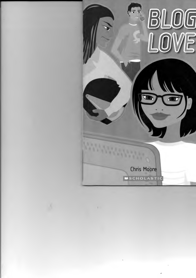

**Chris Moore** 

**MSCHOLASTIC**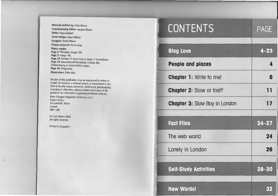Material written by: Chris Moore Commissioning Editor: Jacquie Bloese Editor: Fiona Beddall Cover design: Dawn Wilson Designer: Dawn Wilson Picture research: Emma Bree Photo credits: Page 4: Photodisc; Image 100. Page 5: Image 100. Page 24: Hemera; IT Stock Free; A. Segre, P. Svarc/Alamy. Page 25: Bananastock/Punchstock; Creatas; Big Cheese/A/amy; D. Ardian/Getty Images. Page 26: Imagestate. Illustrations: Katie Mac

No part of this publication may be reproduced in whole or in part, or stored in a retrieval system, or transmitted in any form or by any means, electronic, mechanical, photocopying, recording or otherwise, without written permission of the publisher. For information regarding permission write to: Mary Glasgow Magazines (Scholastic Inc.) Euston House 24 Eversholt Street London NW1 1DB

© Chris Moore 2006 All rights reserved.

Printed in Singapore

| <b>CONTENTS</b>                      | <b>PAGE</b> |
|--------------------------------------|-------------|
| <b>Blog Love</b>                     | $4 - 23$    |
| People and places                    | 4           |
| <b>Chapter 1:</b> Write to me!       | 6           |
| <b>Chapter 2: Slow or fast?</b>      | 11          |
| <b>Chapter 3: Slow Boy in London</b> | 17          |
| <b>Fact Files</b>                    | $24 - 27$   |
| The web world                        | 24          |
| Lonely in London                     | 26          |
| <b>Self-Study Activities</b>         | $28 - 30$   |
| <b>New Words!</b>                    | 32          |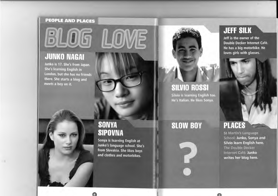#### **PEOPLE AND PLACES**

# 6105

## **JUNKO NAGAI**

Junko is 17. She's from Japan. She's learning English in London, but she has no friends there. She starts a blog and meets a boy on it.



Sonya is learning English at Junko's language school. She's from Slovakia. She likes boys and clothes and motorbikes.



## **SILVIO ROSSI**

Silvio is learning English too. He's Italian. He likes Sonya.

## **SLOW BOY**



## **JEFF SILK**

Jeff is the owner of the Double Decker Internet Café. He has a big motorbike. He loves girls with glasses.

## **PLACES**

**St Martin's Language** School: Junko, Sonya and Silvio learn English here. The Double Decker Internet Café: Junko writes her blog here.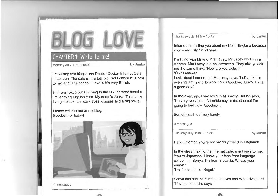### CHAPTER 1: Write to me!

Monday July 11th - 15.39 **by Junko** 

I'm writing this blog in the Double Decker Internet Café in London. The café is in a tall, old, red London bus next to my language school. I love it. It's very British.

I'm from Tokyo but I'm living in the UK for three months. I'm learning English here. My name's Junko. This is me. I've got black hair, dark eyes, glasses and a big smile.

Please write to me at my blog. Goodbye for today!



......

0 messages

Thursday July 14th - 15.42 **by Junko** 

Internet, I'm telling you about my life in England because you're my only friend here.

I'm living with Mr and Mrs Lacey. Mr Lacey works in a cinema. Mrs Lacey is a policewoman. They always ask me the same thing: 'How are you today?' 'OK,' I answer.

I ask about London, but Mr Lacey says, 'Let's talk this evening. I'm going to work now. Goodbye, Junko. Have a good day!'

In the evenings, I say hello to Mr Lacey. But he says, 'I'm very, very tired. A terrible day at the cinema! I'm going to bed now. Goodnight.'

Sometimes I feel very lonely.

0 messages

Tuesday July 19th - 15.56 **by Junko** 

Hello, Internet, you're not my only friend in England!!

In the street next to the internet café, a girl says to me, 'You're Japanese. I know your face from language school. I'm Sonya. I'm from Slovakia. What's your name?'

'I'm Junko. Junko Nagai.'

Sonya has dark hair and green eyes and expensive jeans. 'I love Japan!' she says.

**A**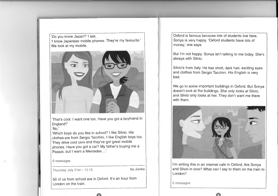'Do you know Japan?' I ask. 'I know Japanese mobile phones. They're my favourite.' We look at my mobile.



'That's cool. I want one too. Have you got a boyfriend in England?' 'No.'

'Which boys do you like in school? I like Silvio. His clothes are from Sergio Tacchini. I like English boys too. They drive cool cars and they've got great mobile phones. Have you got a car? My father's buying me a Passat, but I want a Mercedes ...'

0 messages

Thursday July 21st- 15.15 **by Junko** 

50 of us from school are in Oxford. It's an hour from London on the train.

Oxford is famous because lots of students live here. Sonya is very happy. 'Oxford students have lots of money,' she says.

But I'm not happy. Sonya isn't talking to me today. She's always with Silvio.

Silvio's from Italy. He has short, dark hair, exciting eyes and clothes from Sergio Tacchini. His English is very bad.

We go to some important buildings in Oxford. But Sonya doesn't look at the buildings. She only looks at Silvio, and Silvio only looks at her. They don't want me there with them.



I'm writing this in an internet café in Oxford. Are Sonya and Silvio in love? What can I say to them on the train to London?

**A** 

0 messages

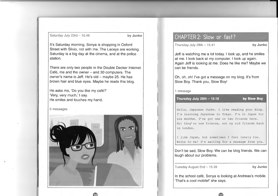Saturday July 23rd - 10.46 **by Junko** 

It's Saturday morning. Sonya is shopping in Oxford Street with Silvio, not with me. The Laceys are working. Saturday is a big day at the cinema, and at the police station.

There are only two people in the Double Decker Internet Café, me and the owner  $-$  and 30 computers. The owner's name is Jeff. He's old – maybe 25. He has brown hair and blue eyes. Maybe he reads this blog.

He asks me, 'Do you like my cafe?' 'Very, very much,' I say. He smiles and touches my hand.

0 messages



*tr:\* 

#### CHAPTER 2: Slow or fast?

Thursday July 28th - 15.41 **by Junko** 

Jeff is watching me a lot today. I look up, and he smiles at me. I look back at my computer. I look up again. Again Jeff is looking at me. Does he like me? Maybe we can be friends.

Oh, oh, oh! I've got a message on my blog. It's from Slow Boy. Thank you, Slow Boy!

1 message

Thursday July 28th - 10.18

by Slow Boy

Hello, Japanese Junko. I like reading your blog. I' m learning Japanese in Tokyo . I' m in Japan for six months. I've got one or two friends here. But they're new friends, not my old friends back in London.

I like Japan, but sometimes I feel lonely too. Write to me! I'm waiting for a message from you.

Don't be sad, Slow Boy. We can be blog friends. We can laugh about our problems.

Tuesday August 2nd - 15.39 **by Junko** 

In the school café, Sonya is looking at Andreas's mobile. 'That's a cool mobile!' she says.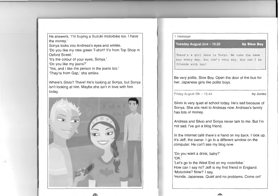He answers, 'I'm buying a Suzuki motorbike too. I have the money.'

Sonya looks into Andreas's eyes and smiles.

'Do you like my new green T-shirt? It's from Top Shop in Oxford Street.'

'It's the colour of your eyes, Sonya.'

'Do you like my jeans?'

I!

'Yes, and I like the person in the jeans too.'

'They're from Gap,' she smiles.

Where's Silvio? There! He's looking at Sonya, but Sonya isn't looking at him. Maybe she isn't in love with him today.



1 message

#### Tuesday August 2nd - 10.20

by Slow Boy

There's a girl here in Tokyo. We take the same bus every day. But she's very shy. How can I be friends with her?

Be very polite, Slow Boy. Open the door of the bus for her. Japanese girls like polite boys.

Friday August 5th - 15.44 **by Junko** 

Silvio is very quiet at school today. He's sad because of Sonya. She sits next to Andreas now. Andreas's family has lots of money.

Andreas and Silvio and Sonya never talk to me. But I'm not sad. I've got a blog friend.

In the internet café there's a hand on my back. I look up. It's Jeff, the owner. I go to a different window on the computer. He can't see my blog now.

'Do you want a drink, baby?' 'OK.' 'Let's go to the West End on my motorbike.' How can I say no? Jeff is my first friend in England. 'Motorbike? Now?' I say. 'Honda. Japanese. Quiet and no problems. Come on!'

**J.ll!l\**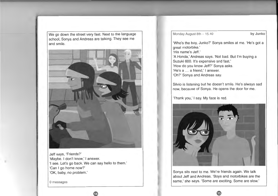We go down the street very fast. Next to the language school, Sonya and Andreas are talking. They see me and smile.



Jeff says, 'Friends?' 'Maybe. I don't know,' I answer. 'I see. Let's go back. We can say hello to them.' 'Can I go home now?' 'OK, baby, no problem.'

**(rJ** 

0 messages

Monday August 8th - 15.40 **by Junko** 

'Who's the boy, Junko?' Sonya smiles at me. 'He's got a great motorbike.' 'His name's Jeff.' 'A Honda,' Andreas says. 'Not bad. But I'm buying a Suzuki 600. It's expensive and fast.' 'How do you know Jeff?' Sonya asks. 'He's a ... a friend,' I answer. 'Oh?' Sonya and Andreas say.

Silvio is listening but he doesn't smile. He's always sad now, because of Sonya. He opens the door for me.

'Thank you,' I say. My face is red.



Sonya sits next to me. We're friends again. We talk about Jeff and Andreas. 'Boys and motorbikes are the same,' she says. 'Some are exciting. Some are slow.'

 $15$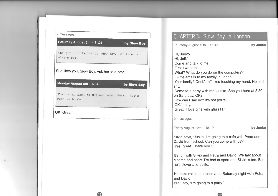| Saturday August 6th - 11.21                                                                                                   | by Slow Boy |
|-------------------------------------------------------------------------------------------------------------------------------|-------------|
| The girl on the bus is very shy. Her face is<br>always red.                                                                   |             |
|                                                                                                                               |             |
|                                                                                                                               |             |
|                                                                                                                               |             |
| Monday August 8th - 6.04                                                                                                      | by Slow Boy |
|                                                                                                                               |             |
| She likes you, Slow Boy. Ask her to a café.<br>I'm coming back to England soon, Junko. Let's<br>meet in London.<br>OK! Great! |             |

**16** 

#### CHAPTER 3: Slow Boy in London **by Junko**  Thursday August 11th- 15.47 'Hi, Junko.' 'Hi, Jeff.' 'Come and talk to me.' 'First I want to .. .' 'What? What do you do on the computers?' 'I write emails to my family in Japan.' 'Your family? Cool.' Jeff likes touching my hand. He isn't shy. 'Come to a party with me, Junko. See you here at 8.30 on Saturday, OK?' How can I say no? It's not polite. 'OK,' I say. 'Great. I love girls with glasses.' 0 messages Friday August 12th - 18.19 **by Junko**

Silvio says, 'Junko, I'm going to a café with Petra and David from school. Can you come with us?' 'Yes, great. Thank you.'

It's fun with Silvio and Petra and David. We talk about cinema and sport. I'm bad at sport and Silvio is too. But he's clever and polite.

He asks me to the cinema on Saturday night with Petra and David.

47

But I say, 'I'm going to a party.'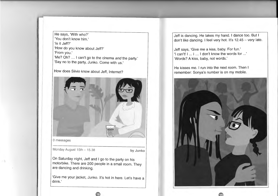He says, 'With who?' 'You don't know him.' 'Is it Jeff?' 'How do you know about Jeff?' 'From you.' 'Me? Oh? ... I can't go to the cinema and the party.' 'Say no to the party, Junko. Come with us.'

How does Silvio know about Jeff, Internet?



Monday August 15th - 15.38 **by Junko** 

On Saturday night, Jeff and I go to the party on his motorbike. There are 200 people in a small room. They are dancing and drinking.

'Give me your jacket, Junko. It's hot in here. Let's have a drink.'

Jeff is dancing. He takes my hand. I dance too. But I don't like dancing. I feel very hot. It's  $12.45 - v$ ery late.

Jeff says, 'Give me a kiss, baby. For fun.' 'I can't! I ... I ... I don't know the words for .. .' 'Words? A kiss, baby, not words.'

He kisses me. I run into the next room. Then I remember: Sonya's number is on my mobile.

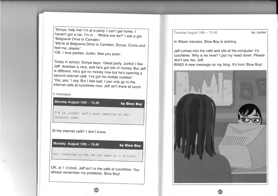'Sonya, help mel I'm at a party. I can't get home. I haven't got a car. I'm in ... Where are we?' I ask a girl. 'Belgravia Drive in Camden.'

'We're at Belgravia Drive in Camden, Sonya. Come and find me, please.'

'OK. I love parties, Junko. See you soon.'

Today in school, Sonya says, 'Great party, Junko! I like Jeff. Andreas is nice, and he's got lots of money. But Jeff is different. He's got no money now but he's opening a second internet café. I've got his mobile number.' 'Yes, yes,' I say. But I feel sad. I can only go to the internet cafe at lunchtime now. Jeff isn't there at lunch.

2 messages



Tuesday August 16th - 12.45 **by Junko** 

In fifteen minutes, Slow Boy is arriving.

Jeff comes into the cafe and sits at his computer. It's lunchtime. Why is he here? I put my head down. Please don't see me, Jeff.

BING! A new message on my blog. It's from Slow Boy!

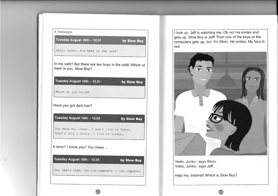

I look up. Jeff is watching me. Oh no! He smiles and gets up. Slow Boy is Jeff! Then one of the boys at the computers gets up, too. It's Silvio. He smiles. My face is red.



'Hello, Junko,' says Silvio. 'Hello, Junko,' says Jeff.

Help me, Internet! Which is Slow Boy?

•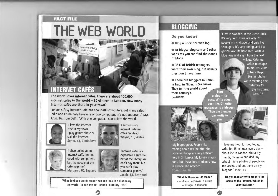#### **FACT FILE**

## THE WEB WORLD

ENTERNET SERVICE FAST SERVICE

## **INTERNET CAFÉS**

The world loves internet cafés. There are about 100,000 internet cafés in the world – 80 of them in London. How many internet cafés are there in your town?

London's Easy Internet Café has about 400 computers. But many cafés in India and China only have one or two computers. 'It's not important,' says Arun, 16, from Delhi. 'With one computer, I can talk to the world.'



'I love the internet café in my town. I play games there or surf the internet.' Sehlu, 13, Zimbabwe



'I surf on wi-fi internet. Internet cafés are dead!' Wayne, 15, Wales



'I shop online at an internet cafe. I'm not good with computers, but the people at the café help me.' Margaret, 60, England



'Internet cafés are expensive. I surf the net at the library. You don't pay there, but you can't play computer games.' Jacob, 13, Scotland ·····························································································

What do these words mean? You can look in a dictionary. the world to surf the net online a library wi-fi ·····························································································

**e** 

## **BLOGGING**

**Do you know?** 

**e** Blog is short for web log.

**e** At blogcatalog.com and other websites you can find thousands of blogs.

**e** 35% of British teenagers want their own blog, but usually they don't have time.

**e** There are bloggers in China, in Iraq, in Niger, in Sri Lanka. They tell the world about their country's  $a$  blog  $-$  it's problems. easy. Write about

'I live in Sweden, in the Arctic Circle. It's very cold. There are only 75 people in my village, and only five teenagers. It's very boring, and I've got no love life here. But I write a blog now and a girl from the next

> village, Katarina, writes messages to me. It's 50km to her village. I like her photo. We're meeting next Saturday for the first time. Lars, 17

vour life. Or write messages to a blogger. Then the blogger can write to VOLL.

Start

25



'My blog's great. People like reading about my life after the tsunami. Things are very difficult here in Sri Lanka. My family is very poor. But I have lots of friends now in Europe and America.' Chandrika, 16

What do these words mean? a website my own a circle a village a tsunami

'I love my blog. It's two today. I write for 45 minutes every day  $$ about life in London, about my friends, my mum and dad, my school. I take photos of people on the streets and put them on my blog too.' Jane, 13 

Do you read or write blogs? Find some on the internet. Which is your favourite?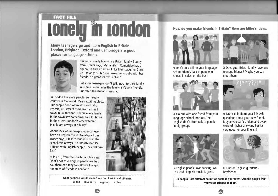## **FACT FILE** I I I I I I I

**Many teenagers go and learn English in Britain. London, Brighton, Oxford and Cambridge are good places for language schools.** 



Students usually live with a British family. Stanny from Greece says, 'My family in Cambridge has a· big house and a garden. I like their daughter. She's 27. I'm only 17, but she takes me to pubs with her friends. It's great for my English.'

But some teenagers don't talk much to their family in Britain. Sometimes the family isn't very friendly. But often the students are shy.

In London there are people from every country in the world. It's an exciting place. But people don't often stop and talk. Pascale, 16, says, 'I come from a small town in Switzerland. I know every family in the town. We sometimes talk for hours in the street. London's very different. People are always in a hurry.'

About 25% of language students never have an English friend. Angelique from France says, 'I talk to students from the school. We always use English. But it's difficult with English people. They talk very fast.'

Milos, 18, from the Czech Republic says, 'That's not true. English people are fun. Ask them and they talk slowly. I've got hundreds of friends in London.'



**How do you make friends in Britain? Here are Milos's ideas:** 



**1** Don't only talk to your language school friends. Talk to people in shops, in cafés, on the bus ...



**3** Go out with one friend from your language school, not lots. The English don't often talk to people in big groups.



**2** Does your British family have any teenage friends? Maybe you can meet them.



**4** Don't talk about your life. Ask questions about your new friend. Maybe you can't understand every word of his/her answers. But it's very good for your English!



**5** English people love dancing. Go to a club. English music is great.



**6** Find an English girlfriend / boyfriend!

**Do people from different countries come to your town? Are the people from your town friendly to them?** 

**e**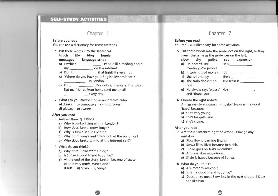#### **SELF-STUDY ACTIVITIES**

#### Chapter 1

#### Before you read

You can use a dictionary for these activities.

- 1 Put these words into the sentences.
	- touch life blog lonely

#### messages language school

- a) I write a \_\_\_\_\_\_\_\_\_\_\_\_\_\_\_\_\_\_. People like reading about my \_\_\_\_\_\_\_\_\_\_\_\_\_\_\_\_ on the internet.
- $b)$  Don't that light! It's very hot.
- c) 'Where do you have your English lessons?' 'At a in London.'
- d) I'm \_\_\_\_\_\_\_\_\_\_\_\_\_. I've got no friends in this town. But my friends from home send me email every day.

2 What can you always find in an internet café? a) drinks **b**) computers **c**) motorbikes d) glasses e) owners

#### After you read

- 3 Answer these questions.
	- a) Who is Junko living with in London?
	- b) How does Junko know Sonya?
	- c) Why is Junko sad in Oxford?
	- d) Why don't Sonya and Silvio look at the buildings?
	- e) Who does Junko talk to at the internet café?
- 4 What do you think?
	- a) Why does Junko start a blog?
	- b) Is Sonya a good friend to Junko?
	- c) At the end of the story, Junko likes one of these people very much. Which one?

28

i) Jeff ii) Silvio iii) Sonya

#### Chapter 2

#### Before you read

You can use a dictionary for these activities.

5 Put these words into the sentences on the right, so they mean the same as the sentences on the left.

| slow | shy                        | polite | sad   | expensive |
|------|----------------------------|--------|-------|-----------|
|      | a) He doesn't like         |        | He's  |           |
|      | meeting new people.        |        |       |           |
|      | b) It costs lots of money. |        | It's  |           |
|      | c) She isn't happy.        |        | She's |           |

- d) The train doesn't go The train is fast.
- e) He always says 'please' He's \_\_\_\_\_\_\_\_\_\_\_\_\_\_. and 'thank you'.
- 6 Choose the right answer.

A man says to a woman, 'Hi, baby.' He uses the word 'baby' because:

- a) she's very young.
- b) she's his girlfriend.
- c) she's crying.

#### After you read

- 7 Are these sentences right or wrong? Change any mistakes.
	- a) Slow Boy is learning English.
	- b) Sonya likes Silvio because he's rich.
	- c) Junko goes on Jeff's motorbike.
	- d) Andreas likes motorbikes.
	- e) Silvio is happy because of Sonya.
- 8 What do you think?
	- a) Are motorbikes cool?
	- b) Is Jeff a good friend to Junko?
	- c) Does Junko meet Slow Boy in the next chapter? Does she like him?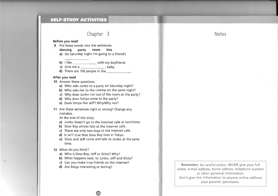#### **SELF-STUDY ACTIVITIES**

#### **Chapter 3**

#### **Before you read**

**9** Put these words into the sentences.

#### **dancing party room kiss**

- a) On Saturday night I'm going to a friend's
- **b)** I like with my boyfriend.
- c) Give me a , baby.
- **d)** There are 100 people in the  $\qquad \qquad$ .

#### **After you read**

#### **10** Answer these questions.

- a) Who asks Junko to a party on Saturday night?
- **b)** Who asks her to the cinema on the same night?
- **c)** Why does Junko run out of the room at the party?
- **d)** Why does Sonya come to the party?
- e) Does Sonya like Jeff? Why/Why not?
- **11** Are these sentences right or wrong? Change any mistakes.

At the end of the story:

- a) Junko doesn't go to the internet café at lunchtime.
- **b)** Slow Boy arrives late at the internet café.
- **c)** There are only two boys in the internet cafe.
- **d)** It isn't true that Slow Boy lives in Tokyo.
- e) Silvio and Jeff come and talk to Junko at the same time.

#### **12** What do you think?

- a) Who is Slow Boy: Jeff or Silvio? Why?
- **b)** What happens next, to Junko, Jeff and Silvio?

้จด

- c) Can you make true friends on the internet?
- **d)** Are blogs interesting or boring?

**Remember:** be careful online. NEVER give your full name, e-mail address, home address, telephone number or other personal information. Don't give this information to anyone online without your parents' permission. 

#### **Notes**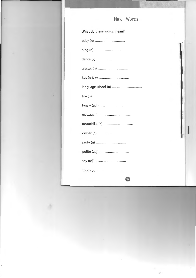### New Words!

#### What do these words mean?

| dance (v)           |
|---------------------|
|                     |
|                     |
| language school (n) |
| life (n)            |
| lonely (adj)        |
|                     |
| motorbike (n)       |
| owner (n)           |
| party (n)           |
| polite (adj)        |
| shy (adj)           |
| touch (v)           |